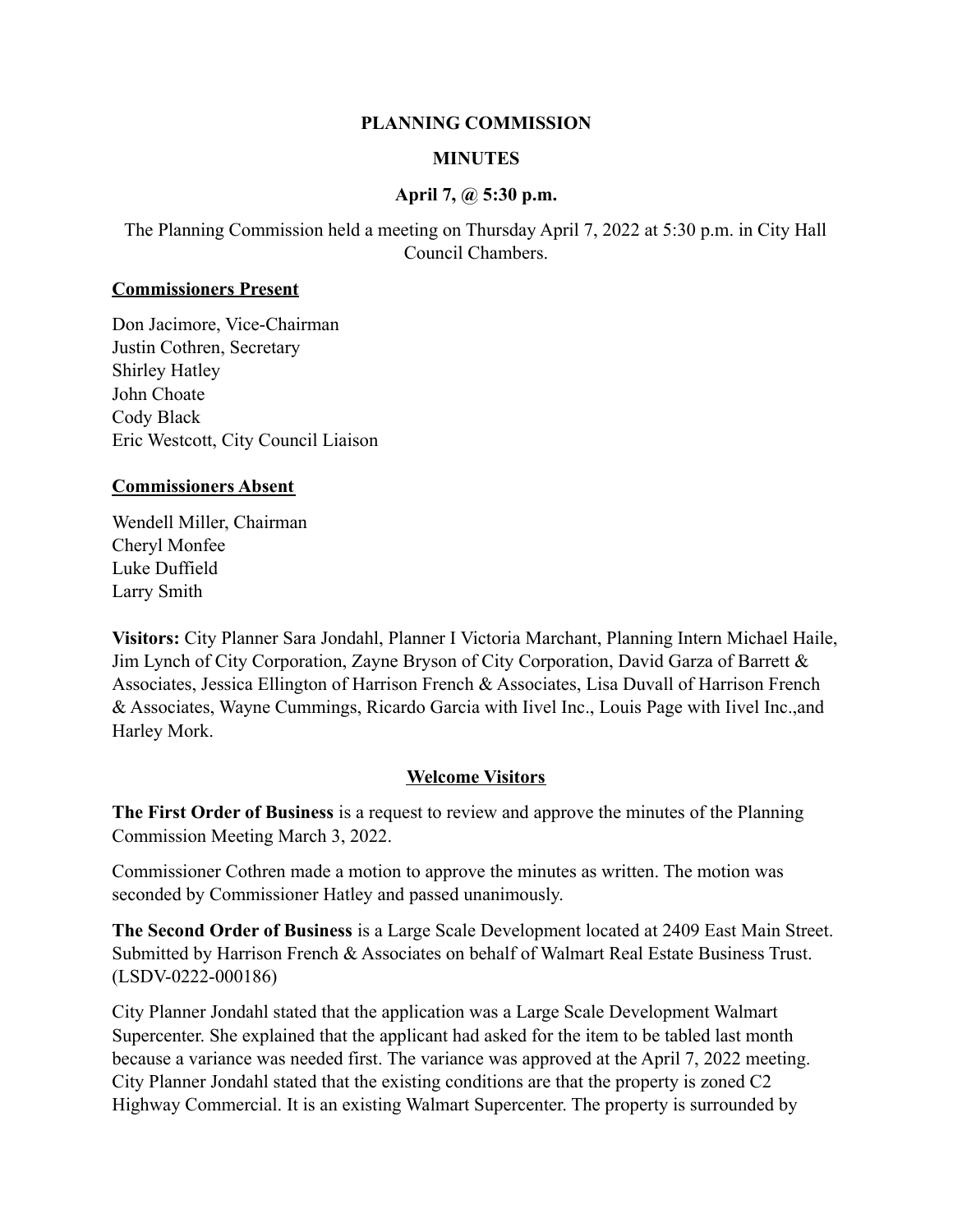### **PLANNING COMMISSION**

# **MINUTES**

## **April 7, @ 5:30 p.m.**

The Planning Commission held a meeting on Thursday April 7, 2022 at 5:30 p.m. in City Hall Council Chambers.

#### **Commissioners Present**

Don Jacimore, Vice-Chairman Justin Cothren, Secretary Shirley Hatley John Choate Cody Black Eric Westcott, City Council Liaison

### **Commissioners Absent**

Wendell Miller, Chairman Cheryl Monfee Luke Duffield Larry Smith

**Visitors:** City Planner Sara Jondahl, Planner I Victoria Marchant, Planning Intern Michael Haile, Jim Lynch of City Corporation, Zayne Bryson of City Corporation, David Garza of Barrett & Associates, Jessica Ellington of Harrison French & Associates, Lisa Duvall of Harrison French & Associates, Wayne Cummings, Ricardo Garcia with Iivel Inc., Louis Page with Iivel Inc.,and Harley Mork.

## **Welcome Visitors**

**The First Order of Business** is a request to review and approve the minutes of the Planning Commission Meeting March 3, 2022.

Commissioner Cothren made a motion to approve the minutes as written. The motion was seconded by Commissioner Hatley and passed unanimously.

**The Second Order of Business** is a Large Scale Development located at 2409 East Main Street. Submitted by Harrison French & Associates on behalf of Walmart Real Estate Business Trust. (LSDV-0222-000186)

City Planner Jondahl stated that the application was a Large Scale Development Walmart Supercenter. She explained that the applicant had asked for the item to be tabled last month because a variance was needed first. The variance was approved at the April 7, 2022 meeting. City Planner Jondahl stated that the existing conditions are that the property is zoned C2 Highway Commercial. It is an existing Walmart Supercenter. The property is surrounded by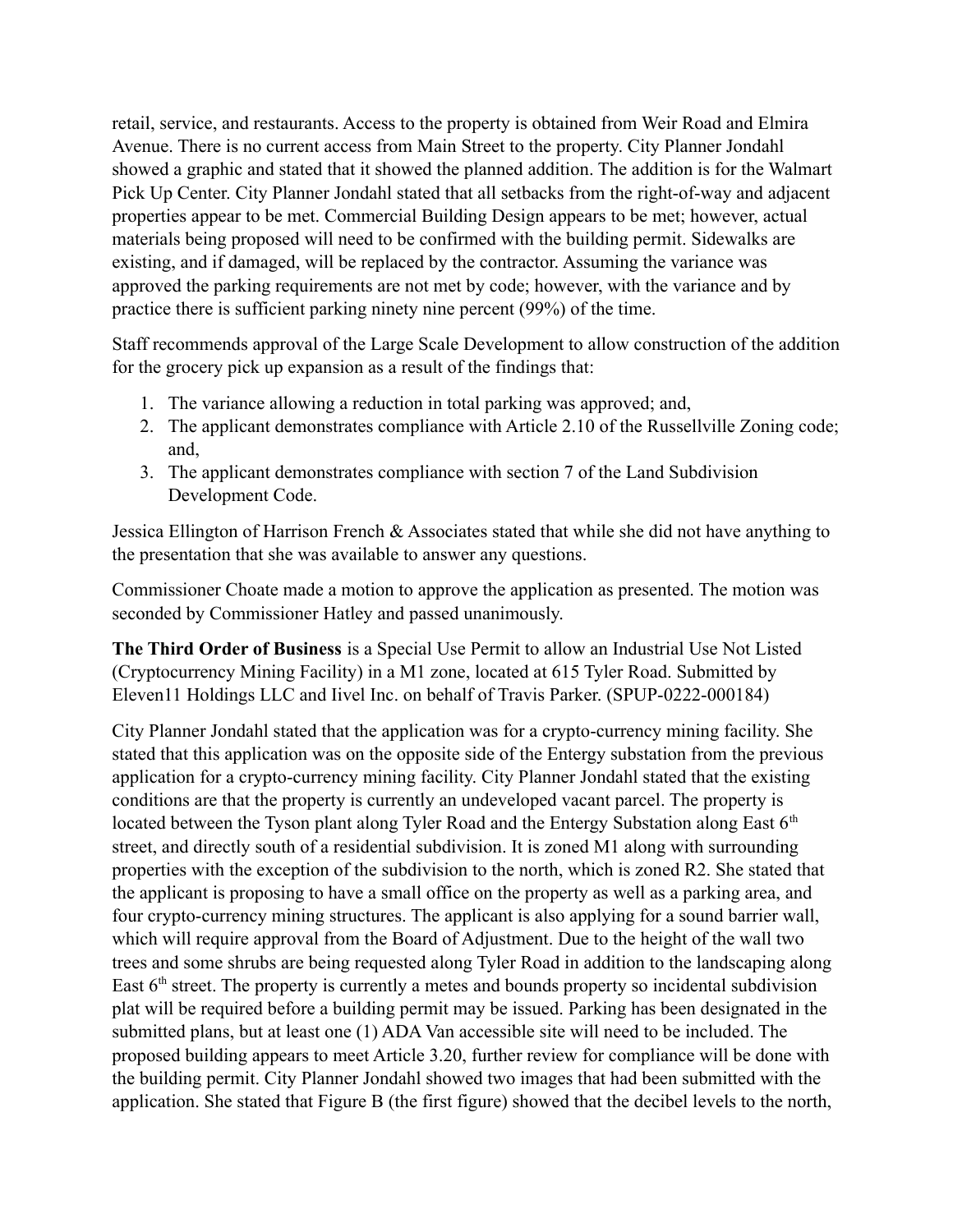retail, service, and restaurants. Access to the property is obtained from Weir Road and Elmira Avenue. There is no current access from Main Street to the property. City Planner Jondahl showed a graphic and stated that it showed the planned addition. The addition is for the Walmart Pick Up Center. City Planner Jondahl stated that all setbacks from the right-of-way and adjacent properties appear to be met. Commercial Building Design appears to be met; however, actual materials being proposed will need to be confirmed with the building permit. Sidewalks are existing, and if damaged, will be replaced by the contractor. Assuming the variance was approved the parking requirements are not met by code; however, with the variance and by practice there is sufficient parking ninety nine percent (99%) of the time.

Staff recommends approval of the Large Scale Development to allow construction of the addition for the grocery pick up expansion as a result of the findings that:

- 1. The variance allowing a reduction in total parking was approved; and,
- 2. The applicant demonstrates compliance with Article 2.10 of the Russellville Zoning code; and,
- 3. The applicant demonstrates compliance with section 7 of the Land Subdivision Development Code.

Jessica Ellington of Harrison French & Associates stated that while she did not have anything to the presentation that she was available to answer any questions.

Commissioner Choate made a motion to approve the application as presented. The motion was seconded by Commissioner Hatley and passed unanimously.

**The Third Order of Business** is a Special Use Permit to allow an Industrial Use Not Listed (Cryptocurrency Mining Facility) in a M1 zone, located at 615 Tyler Road. Submitted by Eleven11 Holdings LLC and Iivel Inc. on behalf of Travis Parker. (SPUP-0222-000184)

City Planner Jondahl stated that the application was for a crypto-currency mining facility. She stated that this application was on the opposite side of the Entergy substation from the previous application for a crypto-currency mining facility. City Planner Jondahl stated that the existing conditions are that the property is currently an undeveloped vacant parcel. The property is located between the Tyson plant along Tyler Road and the Entergy Substation along East  $6<sup>th</sup>$ street, and directly south of a residential subdivision. It is zoned M1 along with surrounding properties with the exception of the subdivision to the north, which is zoned R2. She stated that the applicant is proposing to have a small office on the property as well as a parking area, and four crypto-currency mining structures. The applicant is also applying for a sound barrier wall, which will require approval from the Board of Adjustment. Due to the height of the wall two trees and some shrubs are being requested along Tyler Road in addition to the landscaping along East 6<sup>th</sup> street. The property is currently a metes and bounds property so incidental subdivision plat will be required before a building permit may be issued. Parking has been designated in the submitted plans, but at least one (1) ADA Van accessible site will need to be included. The proposed building appears to meet Article 3.20, further review for compliance will be done with the building permit. City Planner Jondahl showed two images that had been submitted with the application. She stated that Figure B (the first figure) showed that the decibel levels to the north,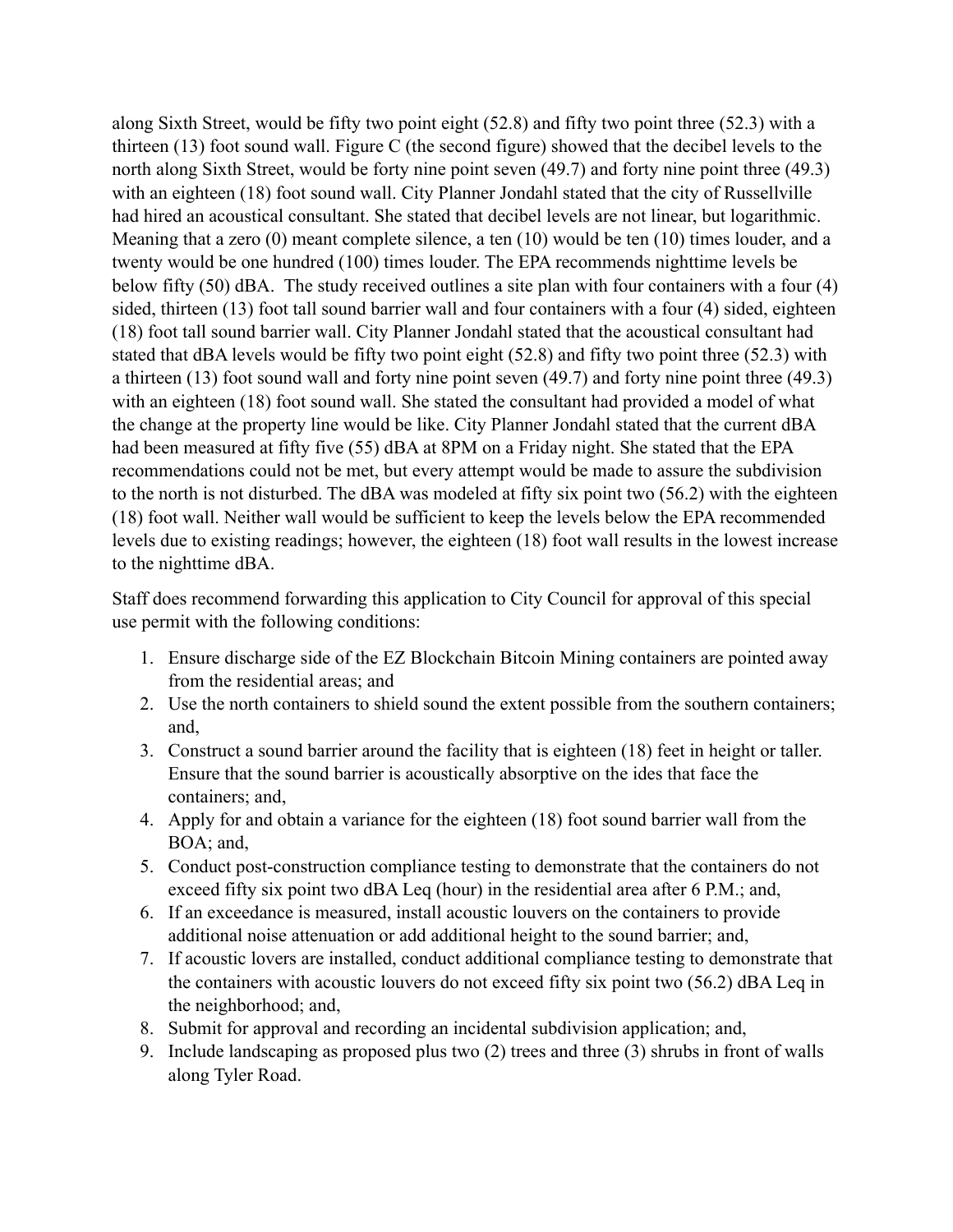along Sixth Street, would be fifty two point eight (52.8) and fifty two point three (52.3) with a thirteen (13) foot sound wall. Figure C (the second figure) showed that the decibel levels to the north along Sixth Street, would be forty nine point seven (49.7) and forty nine point three (49.3) with an eighteen (18) foot sound wall. City Planner Jondahl stated that the city of Russellville had hired an acoustical consultant. She stated that decibel levels are not linear, but logarithmic. Meaning that a zero (0) meant complete silence, a ten (10) would be ten (10) times louder, and a twenty would be one hundred (100) times louder. The EPA recommends nighttime levels be below fifty (50) dBA. The study received outlines a site plan with four containers with a four (4) sided, thirteen (13) foot tall sound barrier wall and four containers with a four (4) sided, eighteen (18) foot tall sound barrier wall. City Planner Jondahl stated that the acoustical consultant had stated that dBA levels would be fifty two point eight (52.8) and fifty two point three (52.3) with a thirteen (13) foot sound wall and forty nine point seven (49.7) and forty nine point three (49.3) with an eighteen (18) foot sound wall. She stated the consultant had provided a model of what the change at the property line would be like. City Planner Jondahl stated that the current dBA had been measured at fifty five (55) dBA at 8PM on a Friday night. She stated that the EPA recommendations could not be met, but every attempt would be made to assure the subdivision to the north is not disturbed. The dBA was modeled at fifty six point two (56.2) with the eighteen (18) foot wall. Neither wall would be sufficient to keep the levels below the EPA recommended levels due to existing readings; however, the eighteen (18) foot wall results in the lowest increase to the nighttime dBA.

Staff does recommend forwarding this application to City Council for approval of this special use permit with the following conditions:

- 1. Ensure discharge side of the EZ Blockchain Bitcoin Mining containers are pointed away from the residential areas; and
- 2. Use the north containers to shield sound the extent possible from the southern containers; and,
- 3. Construct a sound barrier around the facility that is eighteen (18) feet in height or taller. Ensure that the sound barrier is acoustically absorptive on the ides that face the containers; and,
- 4. Apply for and obtain a variance for the eighteen (18) foot sound barrier wall from the BOA; and,
- 5. Conduct post-construction compliance testing to demonstrate that the containers do not exceed fifty six point two dBA Leq (hour) in the residential area after 6 P.M.; and,
- 6. If an exceedance is measured, install acoustic louvers on the containers to provide additional noise attenuation or add additional height to the sound barrier; and,
- 7. If acoustic lovers are installed, conduct additional compliance testing to demonstrate that the containers with acoustic louvers do not exceed fifty six point two (56.2) dBA Leq in the neighborhood; and,
- 8. Submit for approval and recording an incidental subdivision application; and,
- 9. Include landscaping as proposed plus two (2) trees and three (3) shrubs in front of walls along Tyler Road.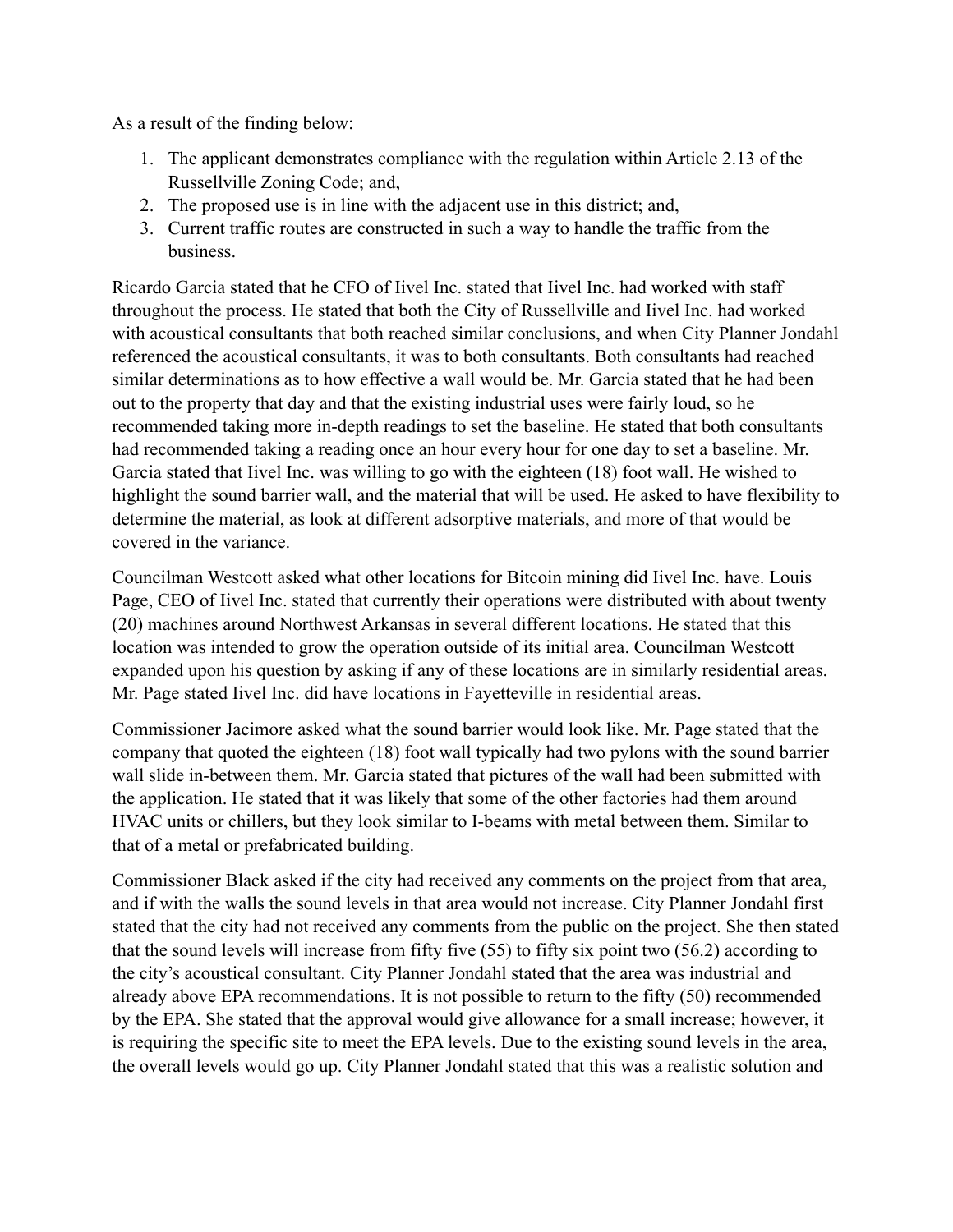As a result of the finding below:

- 1. The applicant demonstrates compliance with the regulation within Article 2.13 of the Russellville Zoning Code; and,
- 2. The proposed use is in line with the adjacent use in this district; and,
- 3. Current traffic routes are constructed in such a way to handle the traffic from the business.

Ricardo Garcia stated that he CFO of Iivel Inc. stated that Iivel Inc. had worked with staff throughout the process. He stated that both the City of Russellville and Iivel Inc. had worked with acoustical consultants that both reached similar conclusions, and when City Planner Jondahl referenced the acoustical consultants, it was to both consultants. Both consultants had reached similar determinations as to how effective a wall would be. Mr. Garcia stated that he had been out to the property that day and that the existing industrial uses were fairly loud, so he recommended taking more in-depth readings to set the baseline. He stated that both consultants had recommended taking a reading once an hour every hour for one day to set a baseline. Mr. Garcia stated that Iivel Inc. was willing to go with the eighteen (18) foot wall. He wished to highlight the sound barrier wall, and the material that will be used. He asked to have flexibility to determine the material, as look at different adsorptive materials, and more of that would be covered in the variance.

Councilman Westcott asked what other locations for Bitcoin mining did Iivel Inc. have. Louis Page, CEO of Iivel Inc. stated that currently their operations were distributed with about twenty (20) machines around Northwest Arkansas in several different locations. He stated that this location was intended to grow the operation outside of its initial area. Councilman Westcott expanded upon his question by asking if any of these locations are in similarly residential areas. Mr. Page stated Iivel Inc. did have locations in Fayetteville in residential areas.

Commissioner Jacimore asked what the sound barrier would look like. Mr. Page stated that the company that quoted the eighteen (18) foot wall typically had two pylons with the sound barrier wall slide in-between them. Mr. Garcia stated that pictures of the wall had been submitted with the application. He stated that it was likely that some of the other factories had them around HVAC units or chillers, but they look similar to I-beams with metal between them. Similar to that of a metal or prefabricated building.

Commissioner Black asked if the city had received any comments on the project from that area, and if with the walls the sound levels in that area would not increase. City Planner Jondahl first stated that the city had not received any comments from the public on the project. She then stated that the sound levels will increase from fifty five (55) to fifty six point two (56.2) according to the city's acoustical consultant. City Planner Jondahl stated that the area was industrial and already above EPA recommendations. It is not possible to return to the fifty (50) recommended by the EPA. She stated that the approval would give allowance for a small increase; however, it is requiring the specific site to meet the EPA levels. Due to the existing sound levels in the area, the overall levels would go up. City Planner Jondahl stated that this was a realistic solution and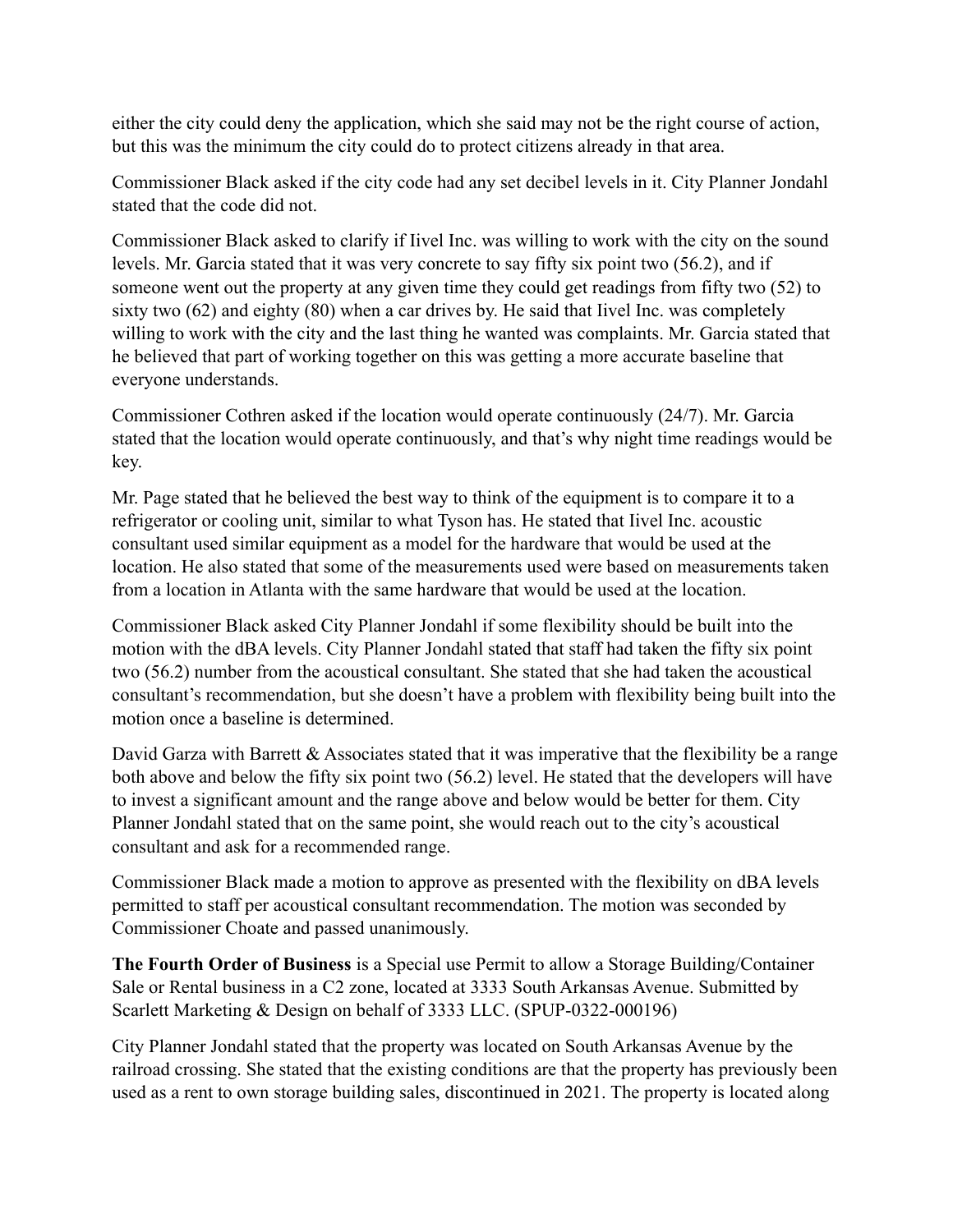either the city could deny the application, which she said may not be the right course of action, but this was the minimum the city could do to protect citizens already in that area.

Commissioner Black asked if the city code had any set decibel levels in it. City Planner Jondahl stated that the code did not.

Commissioner Black asked to clarify if Iivel Inc. was willing to work with the city on the sound levels. Mr. Garcia stated that it was very concrete to say fifty six point two (56.2), and if someone went out the property at any given time they could get readings from fifty two (52) to sixty two (62) and eighty (80) when a car drives by. He said that Iivel Inc. was completely willing to work with the city and the last thing he wanted was complaints. Mr. Garcia stated that he believed that part of working together on this was getting a more accurate baseline that everyone understands.

Commissioner Cothren asked if the location would operate continuously (24/7). Mr. Garcia stated that the location would operate continuously, and that's why night time readings would be key.

Mr. Page stated that he believed the best way to think of the equipment is to compare it to a refrigerator or cooling unit, similar to what Tyson has. He stated that Iivel Inc. acoustic consultant used similar equipment as a model for the hardware that would be used at the location. He also stated that some of the measurements used were based on measurements taken from a location in Atlanta with the same hardware that would be used at the location.

Commissioner Black asked City Planner Jondahl if some flexibility should be built into the motion with the dBA levels. City Planner Jondahl stated that staff had taken the fifty six point two (56.2) number from the acoustical consultant. She stated that she had taken the acoustical consultant's recommendation, but she doesn't have a problem with flexibility being built into the motion once a baseline is determined.

David Garza with Barrett  $\&$  Associates stated that it was imperative that the flexibility be a range both above and below the fifty six point two (56.2) level. He stated that the developers will have to invest a significant amount and the range above and below would be better for them. City Planner Jondahl stated that on the same point, she would reach out to the city's acoustical consultant and ask for a recommended range.

Commissioner Black made a motion to approve as presented with the flexibility on dBA levels permitted to staff per acoustical consultant recommendation. The motion was seconded by Commissioner Choate and passed unanimously.

**The Fourth Order of Business** is a Special use Permit to allow a Storage Building/Container Sale or Rental business in a C2 zone, located at 3333 South Arkansas Avenue. Submitted by Scarlett Marketing & Design on behalf of 3333 LLC. (SPUP-0322-000196)

City Planner Jondahl stated that the property was located on South Arkansas Avenue by the railroad crossing. She stated that the existing conditions are that the property has previously been used as a rent to own storage building sales, discontinued in 2021. The property is located along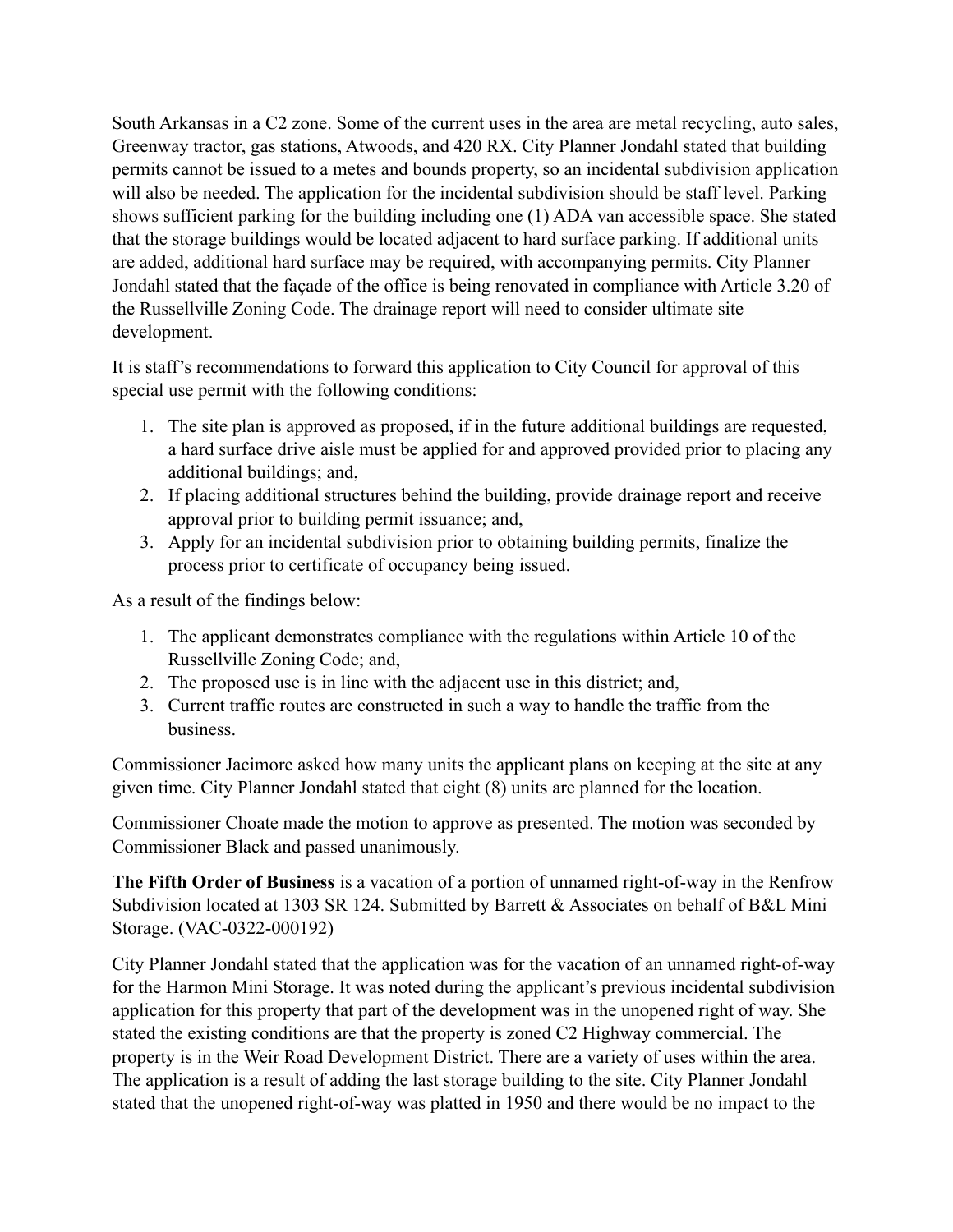South Arkansas in a C2 zone. Some of the current uses in the area are metal recycling, auto sales, Greenway tractor, gas stations, Atwoods, and 420 RX. City Planner Jondahl stated that building permits cannot be issued to a metes and bounds property, so an incidental subdivision application will also be needed. The application for the incidental subdivision should be staff level. Parking shows sufficient parking for the building including one (1) ADA van accessible space. She stated that the storage buildings would be located adjacent to hard surface parking. If additional units are added, additional hard surface may be required, with accompanying permits. City Planner Jondahl stated that the façade of the office is being renovated in compliance with Article 3.20 of the Russellville Zoning Code. The drainage report will need to consider ultimate site development.

It is staff's recommendations to forward this application to City Council for approval of this special use permit with the following conditions:

- 1. The site plan is approved as proposed, if in the future additional buildings are requested, a hard surface drive aisle must be applied for and approved provided prior to placing any additional buildings; and,
- 2. If placing additional structures behind the building, provide drainage report and receive approval prior to building permit issuance; and,
- 3. Apply for an incidental subdivision prior to obtaining building permits, finalize the process prior to certificate of occupancy being issued.

As a result of the findings below:

- 1. The applicant demonstrates compliance with the regulations within Article 10 of the Russellville Zoning Code; and,
- 2. The proposed use is in line with the adjacent use in this district; and,
- 3. Current traffic routes are constructed in such a way to handle the traffic from the business.

Commissioner Jacimore asked how many units the applicant plans on keeping at the site at any given time. City Planner Jondahl stated that eight (8) units are planned for the location.

Commissioner Choate made the motion to approve as presented. The motion was seconded by Commissioner Black and passed unanimously.

**The Fifth Order of Business** is a vacation of a portion of unnamed right-of-way in the Renfrow Subdivision located at 1303 SR 124. Submitted by Barrett & Associates on behalf of B&L Mini Storage. (VAC-0322-000192)

City Planner Jondahl stated that the application was for the vacation of an unnamed right-of-way for the Harmon Mini Storage. It was noted during the applicant's previous incidental subdivision application for this property that part of the development was in the unopened right of way. She stated the existing conditions are that the property is zoned C2 Highway commercial. The property is in the Weir Road Development District. There are a variety of uses within the area. The application is a result of adding the last storage building to the site. City Planner Jondahl stated that the unopened right-of-way was platted in 1950 and there would be no impact to the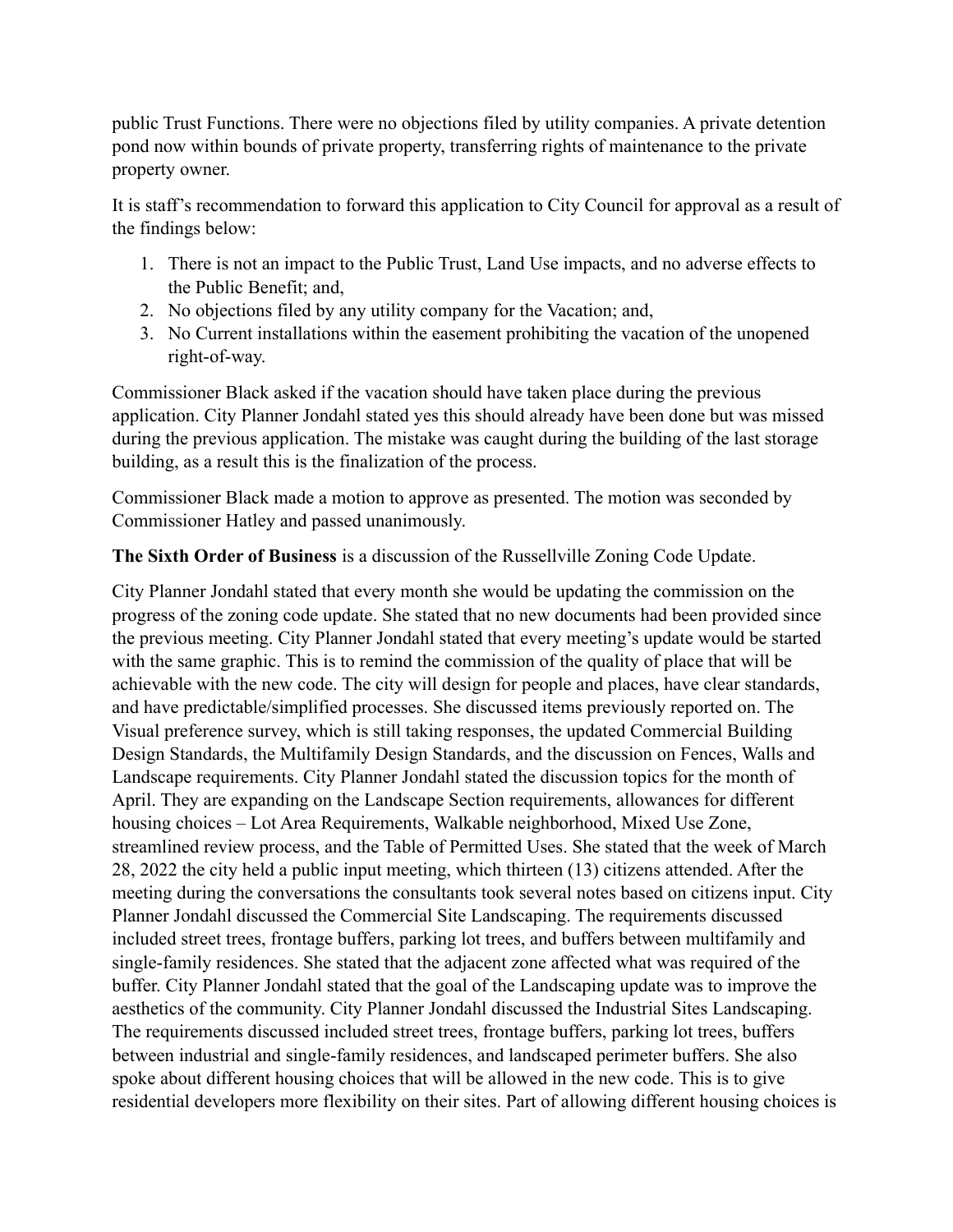public Trust Functions. There were no objections filed by utility companies. A private detention pond now within bounds of private property, transferring rights of maintenance to the private property owner.

It is staff's recommendation to forward this application to City Council for approval as a result of the findings below:

- 1. There is not an impact to the Public Trust, Land Use impacts, and no adverse effects to the Public Benefit; and,
- 2. No objections filed by any utility company for the Vacation; and,
- 3. No Current installations within the easement prohibiting the vacation of the unopened right-of-way.

Commissioner Black asked if the vacation should have taken place during the previous application. City Planner Jondahl stated yes this should already have been done but was missed during the previous application. The mistake was caught during the building of the last storage building, as a result this is the finalization of the process.

Commissioner Black made a motion to approve as presented. The motion was seconded by Commissioner Hatley and passed unanimously.

# **The Sixth Order of Business** is a discussion of the Russellville Zoning Code Update.

City Planner Jondahl stated that every month she would be updating the commission on the progress of the zoning code update. She stated that no new documents had been provided since the previous meeting. City Planner Jondahl stated that every meeting's update would be started with the same graphic. This is to remind the commission of the quality of place that will be achievable with the new code. The city will design for people and places, have clear standards, and have predictable/simplified processes. She discussed items previously reported on. The Visual preference survey, which is still taking responses, the updated Commercial Building Design Standards, the Multifamily Design Standards, and the discussion on Fences, Walls and Landscape requirements. City Planner Jondahl stated the discussion topics for the month of April. They are expanding on the Landscape Section requirements, allowances for different housing choices – Lot Area Requirements, Walkable neighborhood, Mixed Use Zone, streamlined review process, and the Table of Permitted Uses. She stated that the week of March 28, 2022 the city held a public input meeting, which thirteen (13) citizens attended. After the meeting during the conversations the consultants took several notes based on citizens input. City Planner Jondahl discussed the Commercial Site Landscaping. The requirements discussed included street trees, frontage buffers, parking lot trees, and buffers between multifamily and single-family residences. She stated that the adjacent zone affected what was required of the buffer. City Planner Jondahl stated that the goal of the Landscaping update was to improve the aesthetics of the community. City Planner Jondahl discussed the Industrial Sites Landscaping. The requirements discussed included street trees, frontage buffers, parking lot trees, buffers between industrial and single-family residences, and landscaped perimeter buffers. She also spoke about different housing choices that will be allowed in the new code. This is to give residential developers more flexibility on their sites. Part of allowing different housing choices is